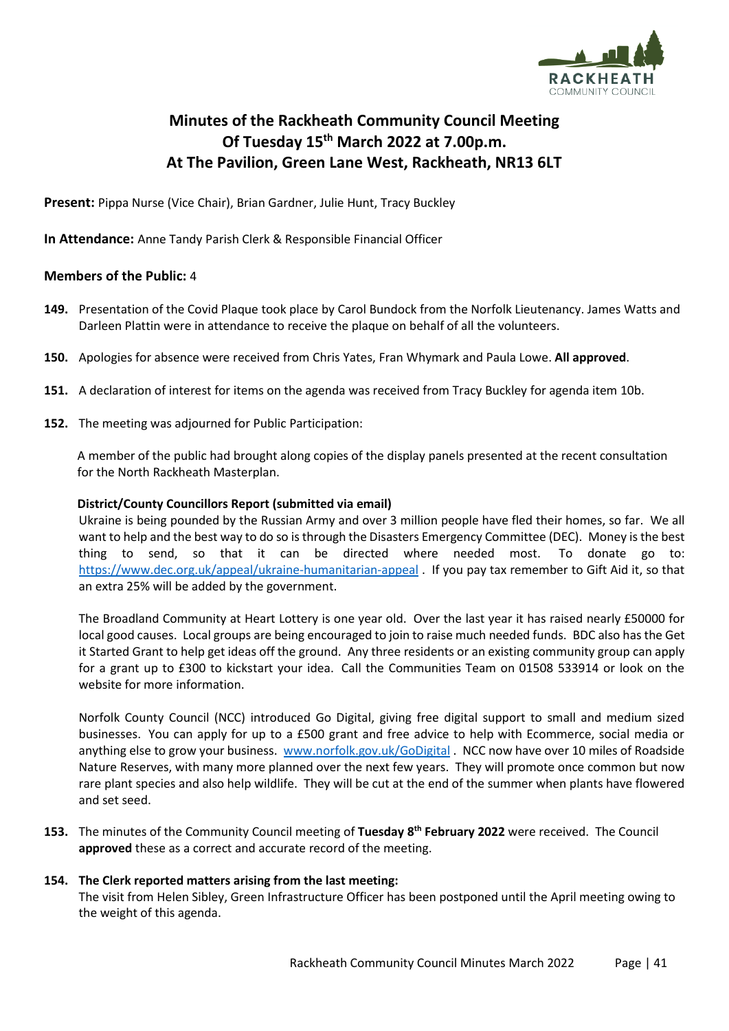

# **Minutes of the Rackheath Community Council Meeting Of Tuesday 15th March 2022 at 7.00p.m. At The Pavilion, Green Lane West, Rackheath, NR13 6LT**

**Present:** Pippa Nurse (Vice Chair), Brian Gardner, Julie Hunt, Tracy Buckley

**In Attendance:** Anne Tandy Parish Clerk & Responsible Financial Officer

# **Members of the Public:** 4

- **149.** Presentation of the Covid Plaque took place by Carol Bundock from the Norfolk Lieutenancy. James Watts and Darleen Plattin were in attendance to receive the plaque on behalf of all the volunteers.
- **150.** Apologies for absence were received from Chris Yates, Fran Whymark and Paula Lowe. **All approved**.
- **151.** A declaration of interest for items on the agenda was received from Tracy Buckley for agenda item 10b.
- **152.** The meeting was adjourned for Public Participation:

A member of the public had brought along copies of the display panels presented at the recent consultation for the North Rackheath Masterplan.

#### **District/County Councillors Report (submitted via email)**

Ukraine is being pounded by the Russian Army and over 3 million people have fled their homes, so far. We all want to help and the best way to do so is through the Disasters Emergency Committee (DEC). Money is the best thing to send, so that it can be directed where needed most. To donate go to: <https://www.dec.org.uk/appeal/ukraine-humanitarian-appeal> . If you pay tax remember to Gift Aid it, so that an extra 25% will be added by the government.

The Broadland Community at Heart Lottery is one year old. Over the last year it has raised nearly £50000 for local good causes. Local groups are being encouraged to join to raise much needed funds. BDC also has the Get it Started Grant to help get ideas off the ground. Any three residents or an existing community group can apply for a grant up to £300 to kickstart your idea. Call the Communities Team on 01508 533914 or look on the website for more information.

Norfolk County Council (NCC) introduced Go Digital, giving free digital support to small and medium sized businesses. You can apply for up to a £500 grant and free advice to help with Ecommerce, social media or anything else to grow your business. [www.norfolk.gov.uk/GoDigital](http://www.norfolk.gov.uk/GoDigital) . NCC now have over 10 miles of Roadside Nature Reserves, with many more planned over the next few years. They will promote once common but now rare plant species and also help wildlife. They will be cut at the end of the summer when plants have flowered and set seed.

**153.** The minutes of the Community Council meeting of **Tuesday 8 th February 2022** were received. The Council **approved** these as a correct and accurate record of the meeting.

#### **154. The Clerk reported matters arising from the last meeting:**

The visit from Helen Sibley, Green Infrastructure Officer has been postponed until the April meeting owing to the weight of this agenda.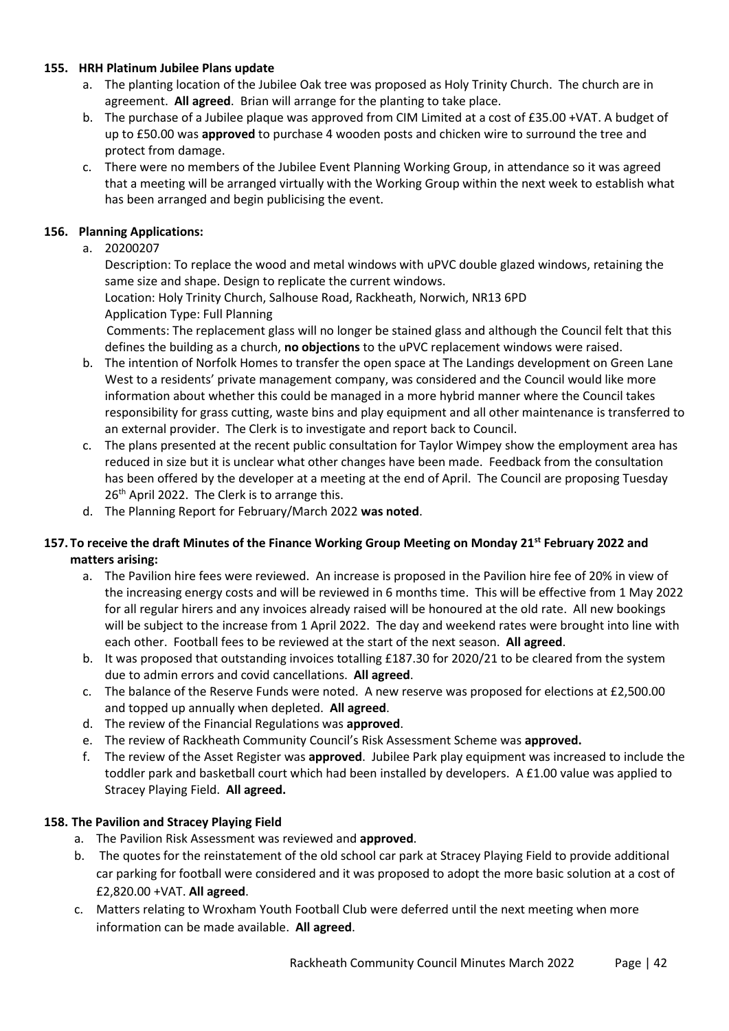#### **155. HRH Platinum Jubilee Plans update**

- a. The planting location of the Jubilee Oak tree was proposed as Holy Trinity Church. The church are in agreement. **All agreed**. Brian will arrange for the planting to take place.
- b. The purchase of a Jubilee plaque was approved from CIM Limited at a cost of £35.00 +VAT. A budget of up to £50.00 was **approved** to purchase 4 wooden posts and chicken wire to surround the tree and protect from damage.
- c. There were no members of the Jubilee Event Planning Working Group, in attendance so it was agreed that a meeting will be arranged virtually with the Working Group within the next week to establish what has been arranged and begin publicising the event.

#### **156. Planning Applications:**

a. 20200207

Description: To replace the wood and metal windows with uPVC double glazed windows, retaining the same size and shape. Design to replicate the current windows.

Location: Holy Trinity Church, Salhouse Road, Rackheath, Norwich, NR13 6PD Application Type: Full Planning

Comments: The replacement glass will no longer be stained glass and although the Council felt that this defines the building as a church, **no objections** to the uPVC replacement windows were raised.

- b. The intention of Norfolk Homes to transfer the open space at The Landings development on Green Lane West to a residents' private management company, was considered and the Council would like more information about whether this could be managed in a more hybrid manner where the Council takes responsibility for grass cutting, waste bins and play equipment and all other maintenance is transferred to an external provider. The Clerk is to investigate and report back to Council.
- c. The plans presented at the recent public consultation for Taylor Wimpey show the employment area has reduced in size but it is unclear what other changes have been made. Feedback from the consultation has been offered by the developer at a meeting at the end of April. The Council are proposing Tuesday 26<sup>th</sup> April 2022. The Clerk is to arrange this.
- d. The Planning Report for February/March 2022 **was noted**.

# **157. To receive the draft Minutes of the Finance Working Group Meeting on Monday 21st February 2022 and matters arising:**

- a. The Pavilion hire fees were reviewed. An increase is proposed in the Pavilion hire fee of 20% in view of the increasing energy costs and will be reviewed in 6 months time. This will be effective from 1 May 2022 for all regular hirers and any invoices already raised will be honoured at the old rate. All new bookings will be subject to the increase from 1 April 2022. The day and weekend rates were brought into line with each other. Football fees to be reviewed at the start of the next season. **All agreed**.
- b. It was proposed that outstanding invoices totalling £187.30 for 2020/21 to be cleared from the system due to admin errors and covid cancellations. **All agreed**.
- c. The balance of the Reserve Funds were noted. A new reserve was proposed for elections at £2,500.00 and topped up annually when depleted. **All agreed**.
- d. The review of the Financial Regulations was **approved**.
- e. The review of Rackheath Community Council's Risk Assessment Scheme was **approved.**
- f. The review of the Asset Register was **approved**. Jubilee Park play equipment was increased to include the toddler park and basketball court which had been installed by developers. A £1.00 value was applied to Stracey Playing Field. **All agreed.**

# **158. The Pavilion and Stracey Playing Field**

- a. The Pavilion Risk Assessment was reviewed and **approved**.
- b. The quotes for the reinstatement of the old school car park at Stracey Playing Field to provide additional car parking for football were considered and it was proposed to adopt the more basic solution at a cost of £2,820.00 +VAT. **All agreed**.
- c. Matters relating to Wroxham Youth Football Club were deferred until the next meeting when more information can be made available. **All agreed**.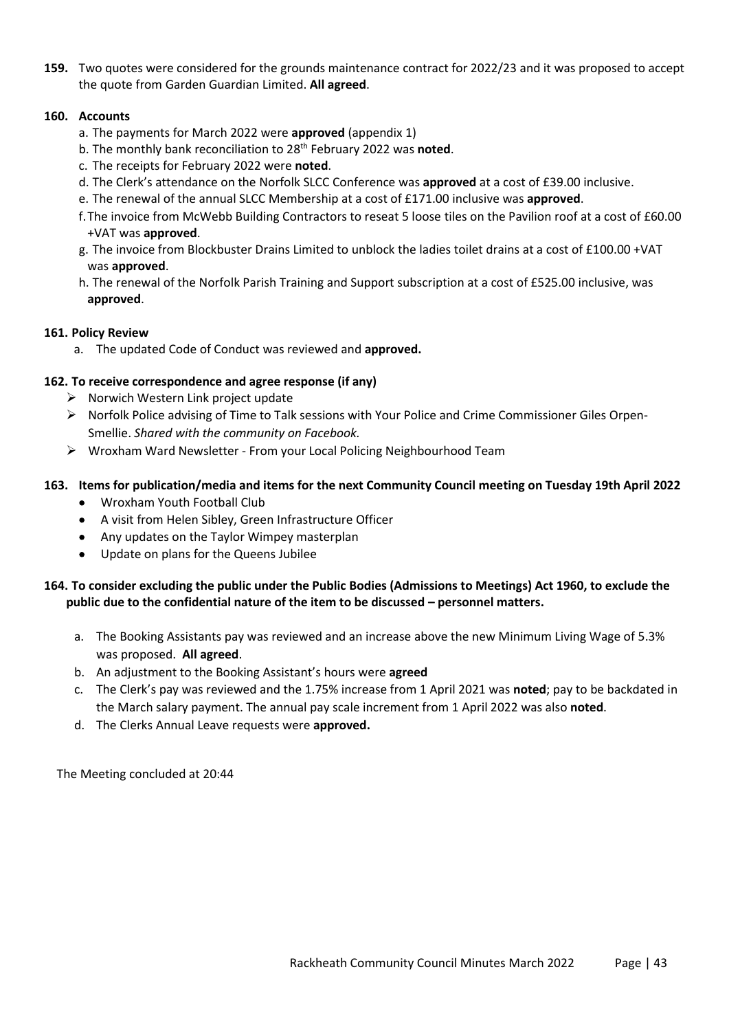**159.** Two quotes were considered for the grounds maintenance contract for 2022/23 and it was proposed to accept the quote from Garden Guardian Limited. **All agreed**.

#### **160. Accounts**

- a. The payments for March 2022 were **approved** (appendix 1)
- b. The monthly bank reconciliation to 28th February 2022 was **noted**.
- c. The receipts for February 2022 were **noted**.
- d. The Clerk's attendance on the Norfolk SLCC Conference was **approved** at a cost of £39.00 inclusive.
- e. The renewal of the annual SLCC Membership at a cost of £171.00 inclusive was **approved**.
- f.The invoice from McWebb Building Contractors to reseat 5 loose tiles on the Pavilion roof at a cost of £60.00 +VAT was **approved**.
- g. The invoice from Blockbuster Drains Limited to unblock the ladies toilet drains at a cost of £100.00 +VAT was **approved**.
- h. The renewal of the Norfolk Parish Training and Support subscription at a cost of £525.00 inclusive, was **approved**.

# **161. Policy Review**

a. The updated Code of Conduct was reviewed and **approved.**

# **162. To receive correspondence and agree response (if any)**

- ➢ Norwich Western Link project update
- ➢ Norfolk Police advising of Time to Talk sessions with Your Police and Crime Commissioner Giles Orpen-Smellie. *Shared with the community on Facebook.*
- ➢ Wroxham Ward Newsletter From your Local Policing Neighbourhood Team

# **163. Items for publication/media and items for the next Community Council meeting on Tuesday 19th April 2022**

- Wroxham Youth Football Club
- A visit from Helen Sibley, Green Infrastructure Officer
- Any updates on the Taylor Wimpey masterplan
- Update on plans for the Queens Jubilee

# **164. To consider excluding the public under the Public Bodies (Admissions to Meetings) Act 1960, to exclude the public due to the confidential nature of the item to be discussed – personnel matters.**

- a. The Booking Assistants pay was reviewed and an increase above the new Minimum Living Wage of 5.3% was proposed. **All agreed**.
- b. An adjustment to the Booking Assistant's hours were **agreed**
- c. The Clerk's pay was reviewed and the 1.75% increase from 1 April 2021 was **noted**; pay to be backdated in the March salary payment. The annual pay scale increment from 1 April 2022 was also **noted**.
- d. The Clerks Annual Leave requests were **approved.**

The Meeting concluded at 20:44